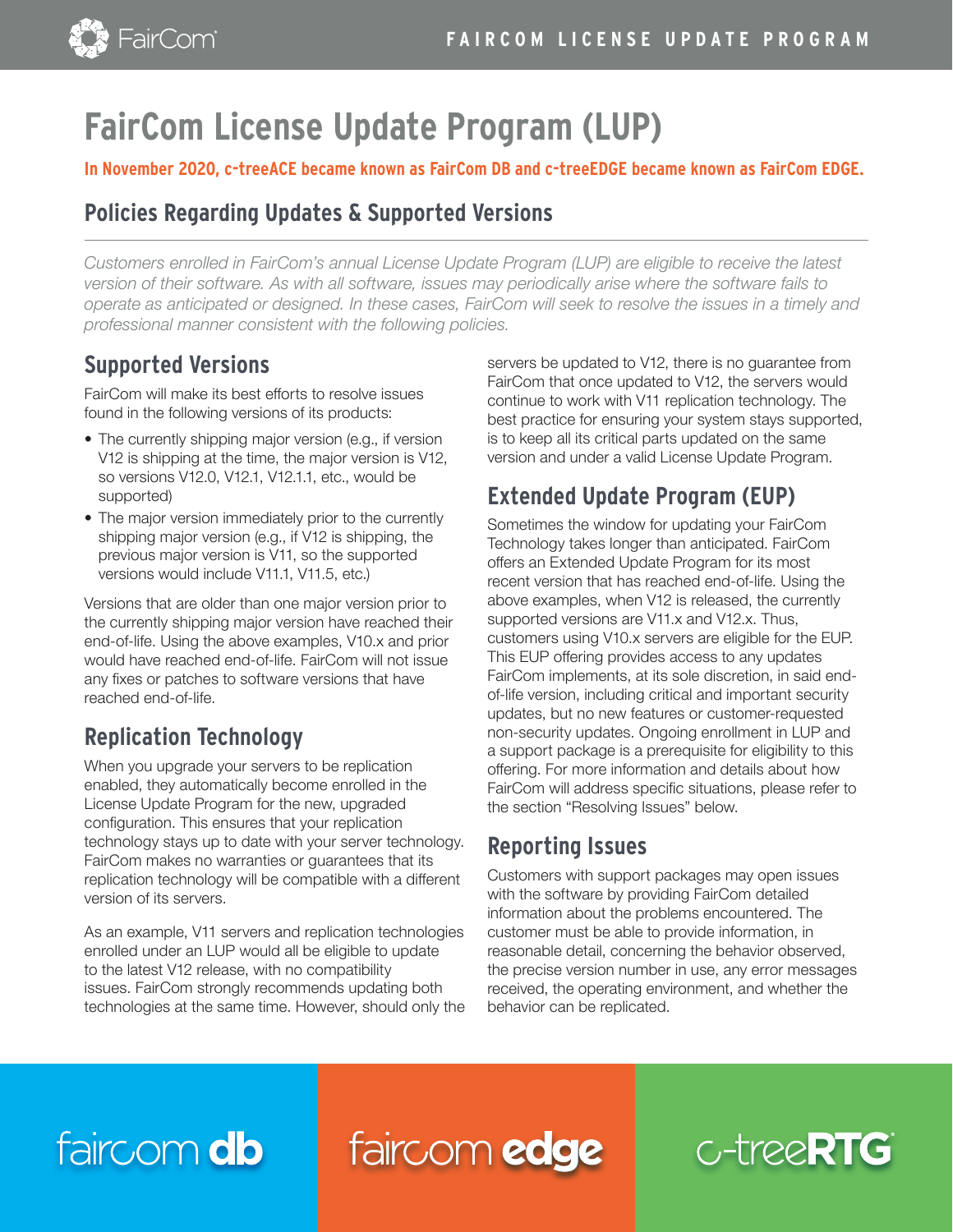

# **FairCom License Update Program (LUP)**

#### **In November 2020, c-treeACE became known as FairCom DB and c-treeEDGE became known as FairCom EDGE.**

### **Policies Regarding Updates & Supported Versions**

*Customers enrolled in FairCom's annual License Update Program (LUP) are eligible to receive the latest version of their software. As with all software, issues may periodically arise where the software fails to operate as anticipated or designed. In these cases, FairCom will seek to resolve the issues in a timely and professional manner consistent with the following policies.*

### **Supported Versions**

FairCom will make its best efforts to resolve issues found in the following versions of its products:

- The currently shipping major version (e.g., if version V12 is shipping at the time, the major version is V12, so versions V12.0, V12.1, V12.1.1, etc., would be supported)
- The major version immediately prior to the currently shipping major version (e.g., if V12 is shipping, the previous major version is V11, so the supported versions would include V11.1, V11.5, etc.)

Versions that are older than one major version prior to the currently shipping major version have reached their end-of-life. Using the above examples, V10.x and prior would have reached end-of-life. FairCom will not issue any fixes or patches to software versions that have reached end-of-life.

# **Replication Technology**

When you upgrade your servers to be replication enabled, they automatically become enrolled in the License Update Program for the new, upgraded configuration. This ensures that your replication technology stays up to date with your server technology. FairCom makes no warranties or guarantees that its replication technology will be compatible with a different version of its servers.

As an example, V11 servers and replication technologies enrolled under an LUP would all be eligible to update to the latest V12 release, with no compatibility issues. FairCom strongly recommends updating both technologies at the same time. However, should only the servers be updated to V12, there is no guarantee from FairCom that once updated to V12, the servers would continue to work with V11 replication technology. The best practice for ensuring your system stays supported, is to keep all its critical parts updated on the same version and under a valid License Update Program.

# **Extended Update Program (EUP)**

Sometimes the window for updating your FairCom Technology takes longer than anticipated. FairCom offers an Extended Update Program for its most recent version that has reached end-of-life. Using the above examples, when V12 is released, the currently supported versions are V11.x and V12.x. Thus, customers using V10.x servers are eligible for the EUP. This EUP offering provides access to any updates FairCom implements, at its sole discretion, in said endof-life version, including critical and important security updates, but no new features or customer-requested non-security updates. Ongoing enrollment in LUP and a support package is a prerequisite for eligibility to this offering. For more information and details about how FairCom will address specific situations, please refer to the section "Resolving Issues" below.

### **Reporting Issues**

Customers with support packages may open issues with the software by providing FairCom detailed information about the problems encountered. The customer must be able to provide information, in reasonable detail, concerning the behavior observed, the precise version number in use, any error messages received, the operating environment, and whether the behavior can be replicated.

# faircom db

faircom edge

# $C$ -tree $RTG$